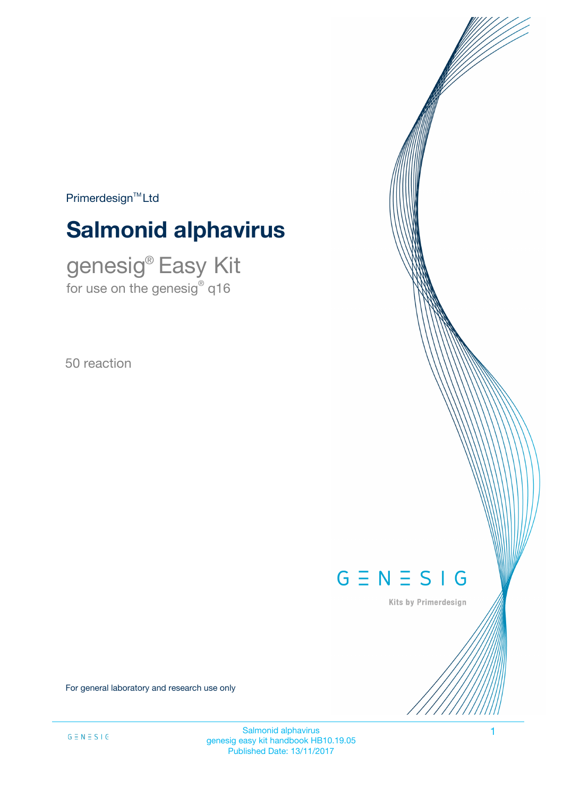$Primerdesign<sup>™</sup>Ltd$ 

# **Salmonid alphavirus**

genesig® Easy Kit for use on the genesig $^\circ$  q16

50 reaction

# $G \equiv N \equiv S \mid G$

Kits by Primerdesign

For general laboratory and research use only

Salmonid alphavirus 1 genesig easy kit handbook HB10.19.05 Published Date: 13/11/2017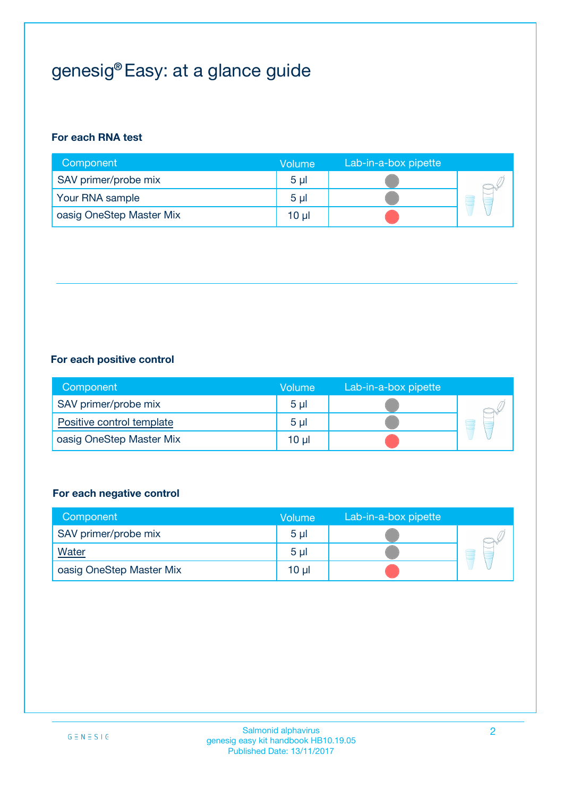## genesig® Easy: at a glance guide

#### **For each RNA test**

| Component                | <b>Volume</b>  | Lab-in-a-box pipette |  |
|--------------------------|----------------|----------------------|--|
| SAV primer/probe mix     | 5 <sub>µ</sub> |                      |  |
| Your RNA sample          | 5 <sub>µ</sub> |                      |  |
| oasig OneStep Master Mix | 10 µl          |                      |  |

#### **For each positive control**

| Component                 | Volume         | Lab-in-a-box pipette |  |
|---------------------------|----------------|----------------------|--|
| SAV primer/probe mix      | 5 <sub>µ</sub> |                      |  |
| Positive control template | 5 <sub>µ</sub> |                      |  |
| oasig OneStep Master Mix  | 10 µl          |                      |  |

#### **For each negative control**

| Component                | Volume         | Lab-in-a-box pipette |   |
|--------------------------|----------------|----------------------|---|
| SAV primer/probe mix     | 5 <sub>µ</sub> |                      |   |
| <b>Water</b>             | 5 <sub>µ</sub> |                      | - |
| oasig OneStep Master Mix | 10 µl          |                      |   |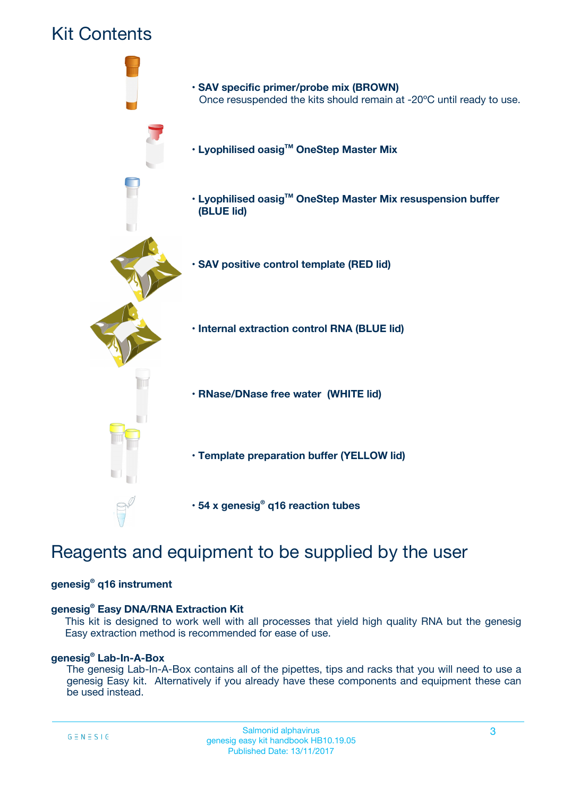

## Reagents and equipment to be supplied by the user

#### **genesig® q16 instrument**

#### **genesig® Easy DNA/RNA Extraction Kit**

This kit is designed to work well with all processes that yield high quality RNA but the genesig Easy extraction method is recommended for ease of use.

#### **genesig® Lab-In-A-Box**

The genesig Lab-In-A-Box contains all of the pipettes, tips and racks that you will need to use a genesig Easy kit. Alternatively if you already have these components and equipment these can be used instead.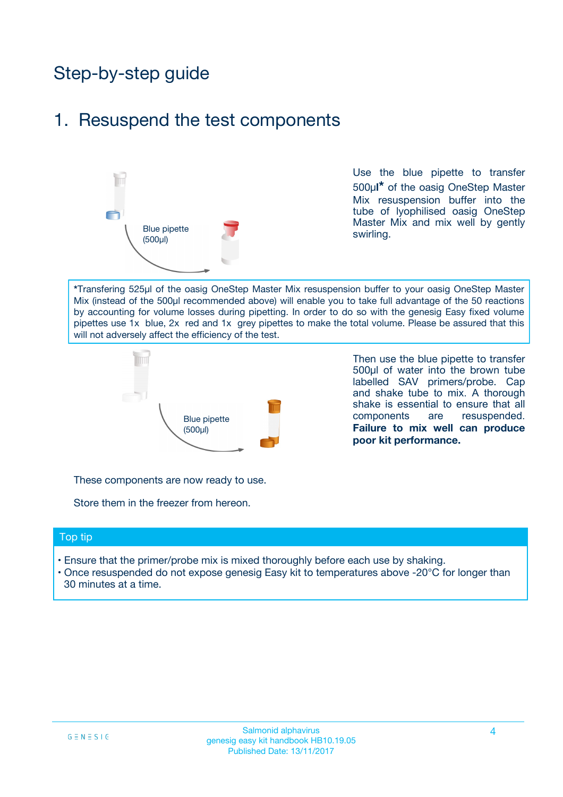## Step-by-step guide

### 1. Resuspend the test components



Use the blue pipette to transfer 500µ**l\*** of the oasig OneStep Master Mix resuspension buffer into the tube of lyophilised oasig OneStep Master Mix and mix well by gently swirling.

**\***Transfering 525µl of the oasig OneStep Master Mix resuspension buffer to your oasig OneStep Master Mix (instead of the 500µl recommended above) will enable you to take full advantage of the 50 reactions by accounting for volume losses during pipetting. In order to do so with the genesig Easy fixed volume pipettes use 1x blue, 2x red and 1x grey pipettes to make the total volume. Please be assured that this will not adversely affect the efficiency of the test.



Then use the blue pipette to transfer 500µl of water into the brown tube labelled SAV primers/probe. Cap and shake tube to mix. A thorough shake is essential to ensure that all components are resuspended. **Failure to mix well can produce poor kit performance.**

These components are now ready to use.

Store them in the freezer from hereon.

#### Top tip

- Ensure that the primer/probe mix is mixed thoroughly before each use by shaking.
- Once resuspended do not expose genesig Easy kit to temperatures above -20°C for longer than 30 minutes at a time.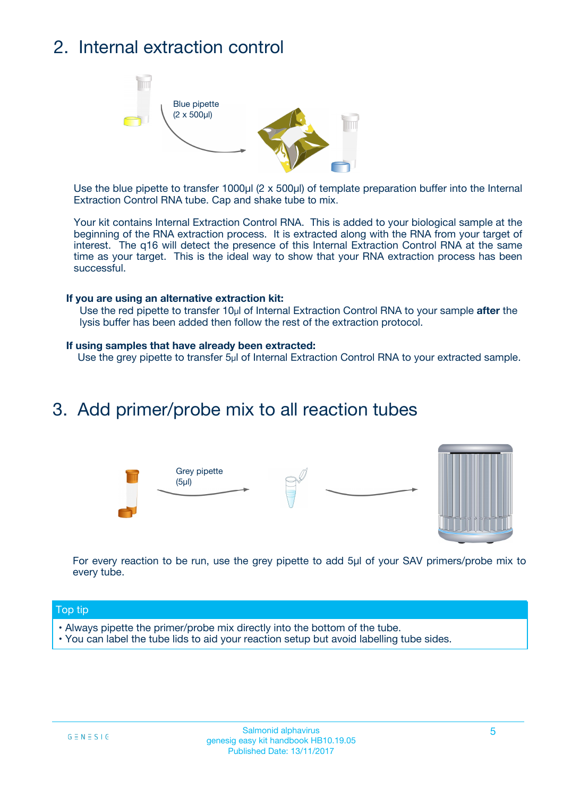## 2. Internal extraction control



Use the blue pipette to transfer 1000µl (2 x 500µl) of template preparation buffer into the Internal Extraction Control RNA tube. Cap and shake tube to mix.

Your kit contains Internal Extraction Control RNA. This is added to your biological sample at the beginning of the RNA extraction process. It is extracted along with the RNA from your target of interest. The q16 will detect the presence of this Internal Extraction Control RNA at the same time as your target. This is the ideal way to show that your RNA extraction process has been successful.

#### **If you are using an alternative extraction kit:**

Use the red pipette to transfer 10µl of Internal Extraction Control RNA to your sample **after** the lysis buffer has been added then follow the rest of the extraction protocol.

#### **If using samples that have already been extracted:**

Use the grey pipette to transfer 5µl of Internal Extraction Control RNA to your extracted sample.

### 3. Add primer/probe mix to all reaction tubes





For every reaction to be run, use the grey pipette to add 5µl of your SAV primers/probe mix to every tube.

#### Top tip

- Always pipette the primer/probe mix directly into the bottom of the tube.
- You can label the tube lids to aid your reaction setup but avoid labelling tube sides.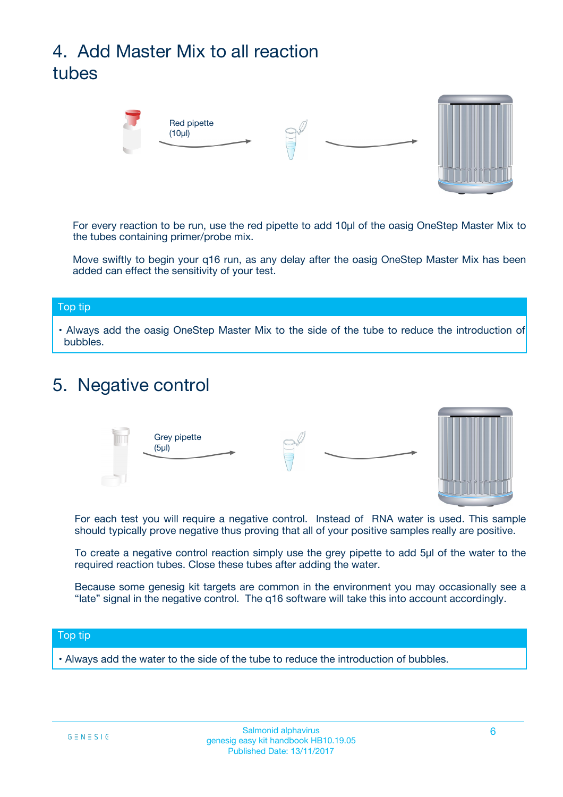## 4. Add Master Mix to all reaction tubes



For every reaction to be run, use the red pipette to add 10µl of the oasig OneStep Master Mix to the tubes containing primer/probe mix.

Move swiftly to begin your q16 run, as any delay after the oasig OneStep Master Mix has been added can effect the sensitivity of your test.

#### Top tip

**•** Always add the oasig OneStep Master Mix to the side of the tube to reduce the introduction of bubbles.

### 5. Negative control



For each test you will require a negative control. Instead of RNA water is used. This sample should typically prove negative thus proving that all of your positive samples really are positive.

To create a negative control reaction simply use the grey pipette to add 5µl of the water to the required reaction tubes. Close these tubes after adding the water.

Because some genesig kit targets are common in the environment you may occasionally see a "late" signal in the negative control. The q16 software will take this into account accordingly.

#### Top tip

**•** Always add the water to the side of the tube to reduce the introduction of bubbles.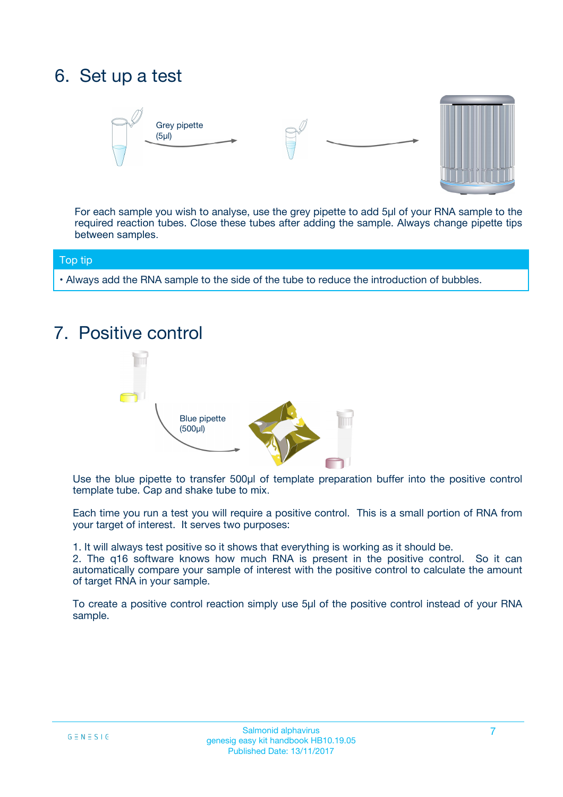## 6. Set up a test





For each sample you wish to analyse, use the grey pipette to add 5µl of your RNA sample to the required reaction tubes. Close these tubes after adding the sample. Always change pipette tips between samples.

#### Top tip

**•** Always add the RNA sample to the side of the tube to reduce the introduction of bubbles.

### 7. Positive control



Use the blue pipette to transfer 500µl of template preparation buffer into the positive control template tube. Cap and shake tube to mix.

Each time you run a test you will require a positive control. This is a small portion of RNA from your target of interest. It serves two purposes:

1. It will always test positive so it shows that everything is working as it should be.

2. The q16 software knows how much RNA is present in the positive control. So it can automatically compare your sample of interest with the positive control to calculate the amount of target RNA in your sample.

To create a positive control reaction simply use 5µl of the positive control instead of your RNA sample.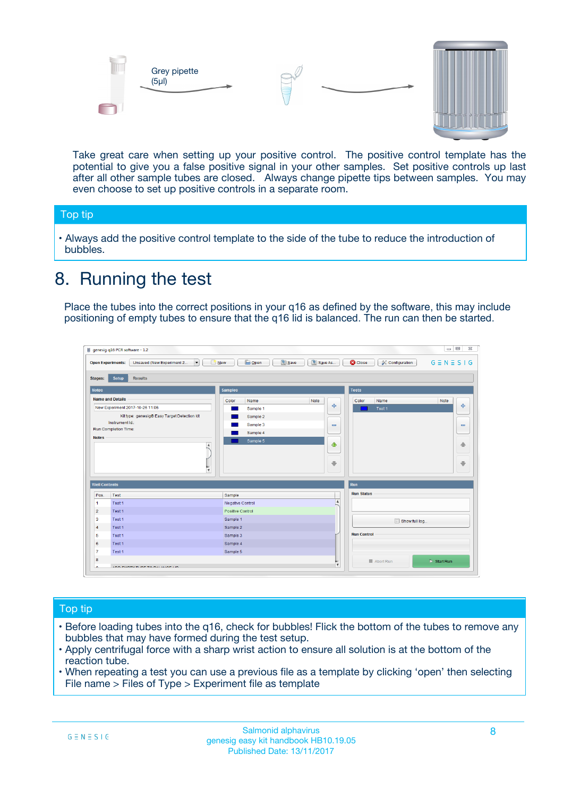



Take great care when setting up your positive control. The positive control template has the potential to give you a false positive signal in your other samples. Set positive controls up last after all other sample tubes are closed. Always change pipette tips between samples. You may even choose to set up positive controls in a separate room.

#### Top tip

**•** Always add the positive control template to the side of the tube to reduce the introduction of bubbles.

### 8. Running the test

Place the tubes into the correct positions in your q16 as defined by the software, this may include positioning of empty tubes to ensure that the q16 lid is balanced. The run can then be started.

|                      | genesig q16 PCR software - 1.2                                                          |                                  | $\Box$                                                                       |
|----------------------|-----------------------------------------------------------------------------------------|----------------------------------|------------------------------------------------------------------------------|
|                      | $N$ ew<br><b>Open Experiments:</b><br>Unsaved (New Experiment 2<br>$\blacktriangledown$ | <b>E</b> Open<br>Save<br>Save As | $G \equiv N \equiv S \mid G$<br><b>C</b> Close<br><b>&amp; Configuration</b> |
| <b>Stages:</b>       | Setup<br><b>Results</b>                                                                 |                                  |                                                                              |
| <b>Notes</b>         |                                                                                         | <b>Samples</b>                   | <b>Tests</b>                                                                 |
|                      | <b>Name and Details</b>                                                                 | Color<br>Note<br>Name            | Color<br>Note<br>Name                                                        |
|                      | New Experiment 2017-10-26 11:06                                                         | Sample 1                         | على<br>4<br>Test 1                                                           |
|                      | Kit type: genesig® Easy Target Detection kit                                            | Sample 2                         |                                                                              |
|                      | Instrument Id.:                                                                         | Sample 3                         | $\equiv$<br>$\equiv$                                                         |
|                      | <b>Run Completion Time:</b>                                                             | Sample 4                         |                                                                              |
| <b>Notes</b>         | $\blacktriangle$                                                                        | Sample 5                         | 企<br>40                                                                      |
|                      | $\overline{\mathbf{v}}$                                                                 |                                  | ÷<br>⊕                                                                       |
| <b>Well Contents</b> |                                                                                         |                                  | Run                                                                          |
| Pos.                 | Test                                                                                    | Sample                           | <b>Run Status</b>                                                            |
| -1                   | Test 1                                                                                  | Negative Control                 | $\blacktriangle$                                                             |
| $\overline{2}$       | Test 1                                                                                  | Positive Control                 |                                                                              |
| 3                    | Test 1                                                                                  | Sample 1                         | Show full log                                                                |
| $\overline{4}$       | Test 1                                                                                  | Sample 2                         |                                                                              |
| 5                    | Test 1                                                                                  | Sample 3                         | <b>Run Control</b>                                                           |
| 6                    | Test 1                                                                                  | Sample 4                         |                                                                              |
| $\overline{7}$       | Test 1                                                                                  | Sample 5                         |                                                                              |
| 8                    |                                                                                         |                                  | $\triangleright$ Start Run<br>■ Abort Run                                    |
| ◡                    | <b><i>ADD FURTHER COLLANDELIA</i></b>                                                   |                                  | $\overline{\mathbf{v}}$                                                      |

#### Top tip

- Before loading tubes into the q16, check for bubbles! Flick the bottom of the tubes to remove any bubbles that may have formed during the test setup.
- Apply centrifugal force with a sharp wrist action to ensure all solution is at the bottom of the reaction tube.
- When repeating a test you can use a previous file as a template by clicking 'open' then selecting File name > Files of Type > Experiment file as template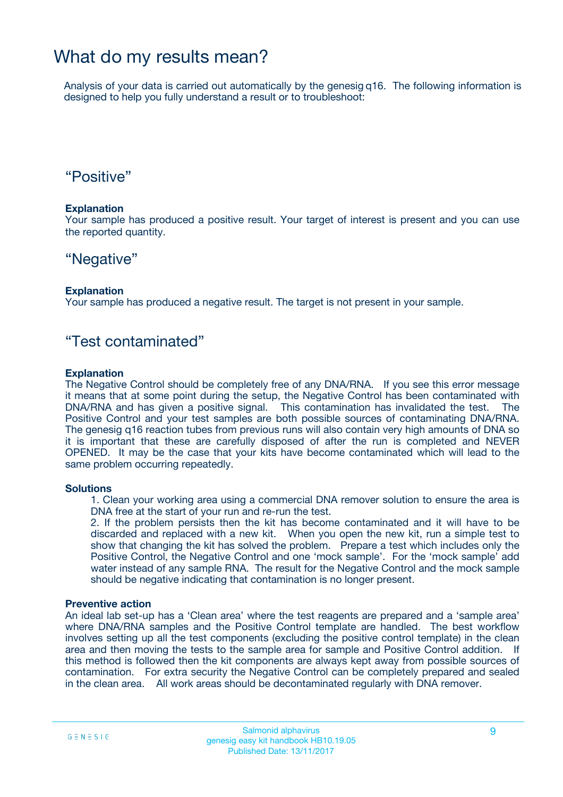### What do my results mean?

Analysis of your data is carried out automatically by the genesig q16. The following information is designed to help you fully understand a result or to troubleshoot:

### "Positive"

#### **Explanation**

Your sample has produced a positive result. Your target of interest is present and you can use the reported quantity.

### "Negative"

#### **Explanation**

Your sample has produced a negative result. The target is not present in your sample.

### "Test contaminated"

#### **Explanation**

The Negative Control should be completely free of any DNA/RNA. If you see this error message it means that at some point during the setup, the Negative Control has been contaminated with DNA/RNA and has given a positive signal. This contamination has invalidated the test. The Positive Control and your test samples are both possible sources of contaminating DNA/RNA. The genesig q16 reaction tubes from previous runs will also contain very high amounts of DNA so it is important that these are carefully disposed of after the run is completed and NEVER OPENED. It may be the case that your kits have become contaminated which will lead to the same problem occurring repeatedly.

#### **Solutions**

1. Clean your working area using a commercial DNA remover solution to ensure the area is DNA free at the start of your run and re-run the test.

2. If the problem persists then the kit has become contaminated and it will have to be discarded and replaced with a new kit. When you open the new kit, run a simple test to show that changing the kit has solved the problem. Prepare a test which includes only the Positive Control, the Negative Control and one 'mock sample'. For the 'mock sample' add water instead of any sample RNA. The result for the Negative Control and the mock sample should be negative indicating that contamination is no longer present.

#### **Preventive action**

An ideal lab set-up has a 'Clean area' where the test reagents are prepared and a 'sample area' where DNA/RNA samples and the Positive Control template are handled. The best workflow involves setting up all the test components (excluding the positive control template) in the clean area and then moving the tests to the sample area for sample and Positive Control addition. If this method is followed then the kit components are always kept away from possible sources of contamination. For extra security the Negative Control can be completely prepared and sealed in the clean area. All work areas should be decontaminated regularly with DNA remover.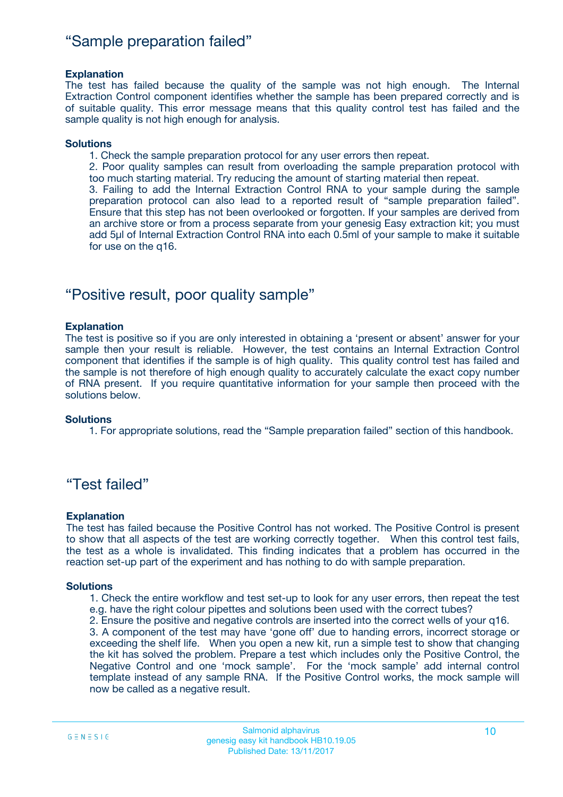### "Sample preparation failed"

#### **Explanation**

The test has failed because the quality of the sample was not high enough. The Internal Extraction Control component identifies whether the sample has been prepared correctly and is of suitable quality. This error message means that this quality control test has failed and the sample quality is not high enough for analysis.

#### **Solutions**

1. Check the sample preparation protocol for any user errors then repeat.

2. Poor quality samples can result from overloading the sample preparation protocol with too much starting material. Try reducing the amount of starting material then repeat.

3. Failing to add the Internal Extraction Control RNA to your sample during the sample preparation protocol can also lead to a reported result of "sample preparation failed". Ensure that this step has not been overlooked or forgotten. If your samples are derived from an archive store or from a process separate from your genesig Easy extraction kit; you must add 5µl of Internal Extraction Control RNA into each 0.5ml of your sample to make it suitable for use on the q16.

### "Positive result, poor quality sample"

#### **Explanation**

The test is positive so if you are only interested in obtaining a 'present or absent' answer for your sample then your result is reliable. However, the test contains an Internal Extraction Control component that identifies if the sample is of high quality. This quality control test has failed and the sample is not therefore of high enough quality to accurately calculate the exact copy number of RNA present. If you require quantitative information for your sample then proceed with the solutions below.

#### **Solutions**

1. For appropriate solutions, read the "Sample preparation failed" section of this handbook.

### "Test failed"

#### **Explanation**

The test has failed because the Positive Control has not worked. The Positive Control is present to show that all aspects of the test are working correctly together. When this control test fails, the test as a whole is invalidated. This finding indicates that a problem has occurred in the reaction set-up part of the experiment and has nothing to do with sample preparation.

#### **Solutions**

- 1. Check the entire workflow and test set-up to look for any user errors, then repeat the test e.g. have the right colour pipettes and solutions been used with the correct tubes?
- 2. Ensure the positive and negative controls are inserted into the correct wells of your q16.

3. A component of the test may have 'gone off' due to handing errors, incorrect storage or exceeding the shelf life. When you open a new kit, run a simple test to show that changing the kit has solved the problem. Prepare a test which includes only the Positive Control, the Negative Control and one 'mock sample'. For the 'mock sample' add internal control template instead of any sample RNA. If the Positive Control works, the mock sample will now be called as a negative result.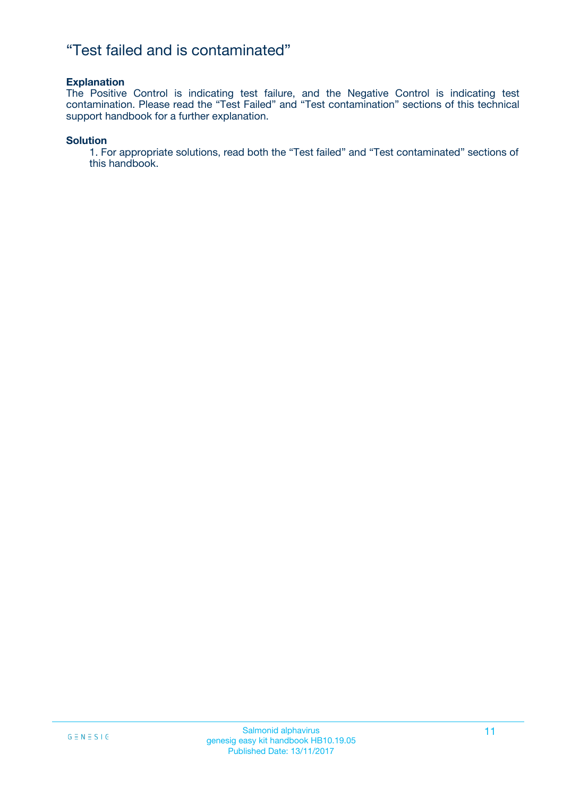### "Test failed and is contaminated"

#### **Explanation**

The Positive Control is indicating test failure, and the Negative Control is indicating test contamination. Please read the "Test Failed" and "Test contamination" sections of this technical support handbook for a further explanation.

#### **Solution**

1. For appropriate solutions, read both the "Test failed" and "Test contaminated" sections of this handbook.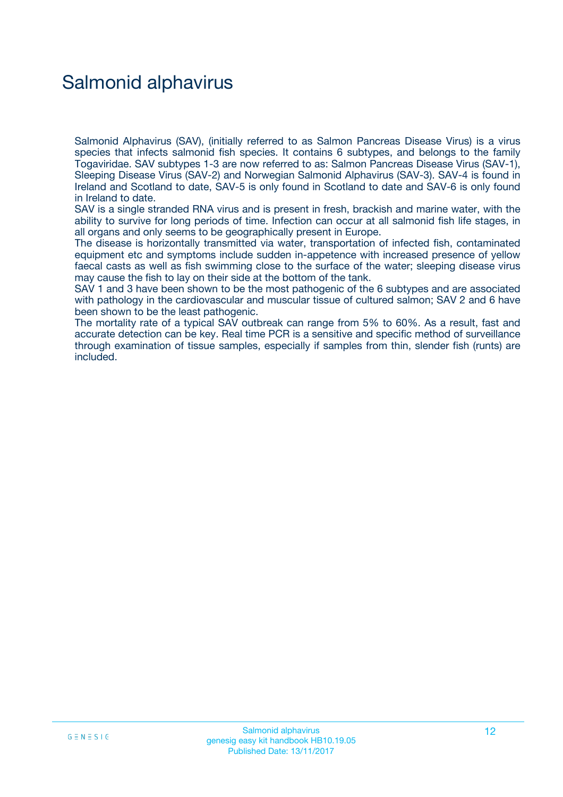## Salmonid alphavirus

Salmonid Alphavirus (SAV), (initially referred to as Salmon Pancreas Disease Virus) is a virus species that infects salmonid fish species. It contains 6 subtypes, and belongs to the family Togaviridae. SAV subtypes 1-3 are now referred to as: Salmon Pancreas Disease Virus (SAV-1), Sleeping Disease Virus (SAV-2) and Norwegian Salmonid Alphavirus (SAV-3). SAV-4 is found in Ireland and Scotland to date, SAV-5 is only found in Scotland to date and SAV-6 is only found in Ireland to date.

SAV is a single stranded RNA virus and is present in fresh, brackish and marine water, with the ability to survive for long periods of time. Infection can occur at all salmonid fish life stages, in all organs and only seems to be geographically present in Europe.

The disease is horizontally transmitted via water, transportation of infected fish, contaminated equipment etc and symptoms include sudden in-appetence with increased presence of yellow faecal casts as well as fish swimming close to the surface of the water; sleeping disease virus may cause the fish to lay on their side at the bottom of the tank.

SAV 1 and 3 have been shown to be the most pathogenic of the 6 subtypes and are associated with pathology in the cardiovascular and muscular tissue of cultured salmon; SAV 2 and 6 have been shown to be the least pathogenic.

The mortality rate of a typical SAV outbreak can range from 5% to 60%. As a result, fast and accurate detection can be key. Real time PCR is a sensitive and specific method of surveillance through examination of tissue samples, especially if samples from thin, slender fish (runts) are included.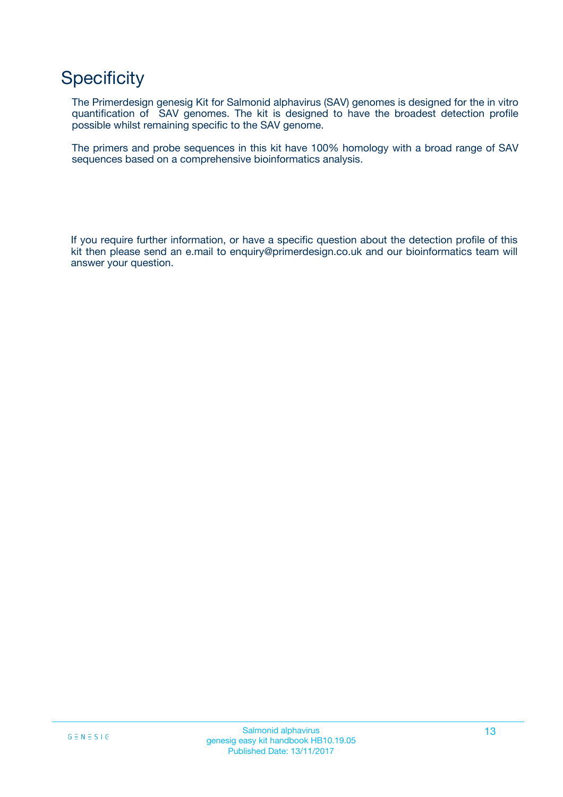## **Specificity**

The Primerdesign genesig Kit for Salmonid alphavirus (SAV) genomes is designed for the in vitro quantification of SAV genomes. The kit is designed to have the broadest detection profile possible whilst remaining specific to the SAV genome.

The primers and probe sequences in this kit have 100% homology with a broad range of SAV sequences based on a comprehensive bioinformatics analysis.

If you require further information, or have a specific question about the detection profile of this kit then please send an e.mail to enquiry@primerdesign.co.uk and our bioinformatics team will answer your question.